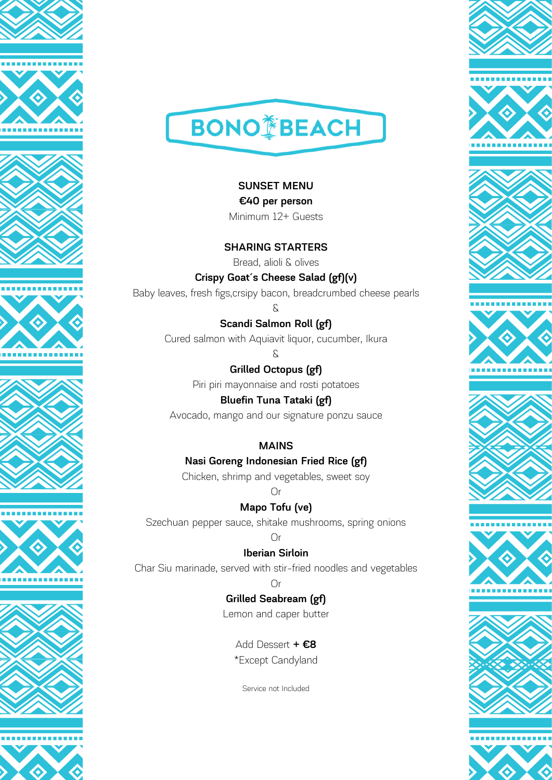















**SUNSET MENU €40 per person** Minimum 12+ Guests

**SHARING STARTERS** Bread, alioli & olives

**Crispy Goat´s Cheese Salad (gf)(v)** Baby leaves, fresh figs,crsipy bacon, breadcrumbed cheese pearls

> **Scandi Salmon Roll (gf)** Cured salmon with Aquiavit liquor, cucumber, Ikura

> > &

&

**Grilled Octopus (gf)** Piri piri mayonnaise and rosti potatoes

**Bluefin Tuna Tataki (gf)** Avocado, mango and our signature ponzu sauce

### **MAINS**

**Nasi Goreng Indonesian Fried Rice (gf)**

Chicken, shrimp and vegetables, sweet soy

Or

**Mapo Tofu (ve)**

Szechuan pepper sauce, shitake mushrooms, spring onions

#### $\bigcap$ r

**Iberian Sirloin**

Char Siu marinade, served with stir-fried noodles and vegetables

### Or

**Grilled Seabream (gf)** Lemon and caper butter

Add Dessert **+ €8** \*Except Candyland

Service not Included